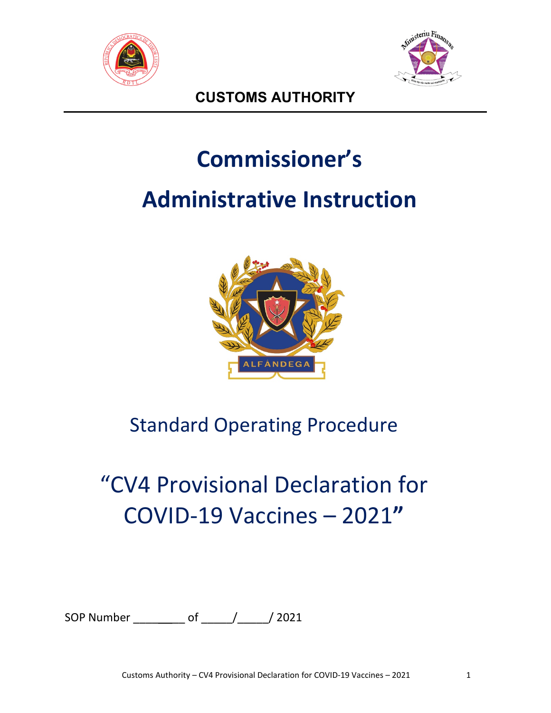



**CUSTOMS AUTHORITY**

# **Commissioner's**

## **Administrative Instruction**



### Standard Operating Procedure

# "CV4 Provisional Declaration for COVID-19 Vaccines – 2021**"**

SOP Number \_\_\_\_\_\_\_\_\_\_\_ of \_\_\_\_\_\_/ \_\_\_\_\_/ 2021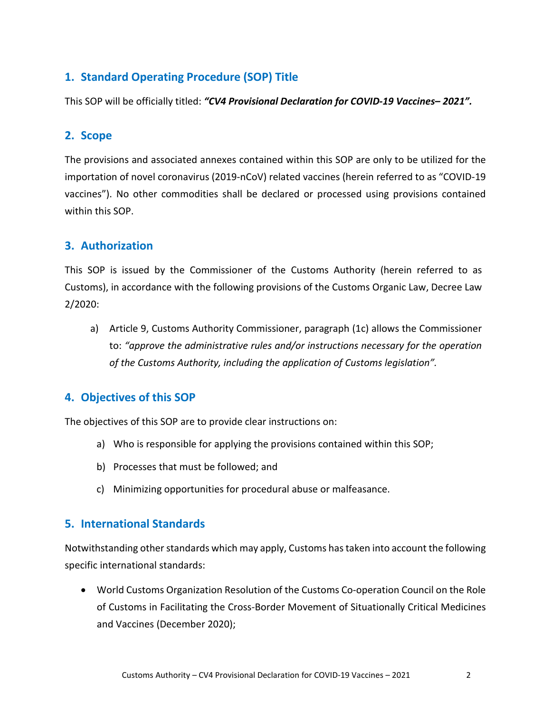#### **1. Standard Operating Procedure (SOP) Title**

This SOP will be officially titled: *"CV4 Provisional Declaration for COVID-19 Vaccines– 2021".*

#### **2. Scope**

The provisions and associated annexes contained within this SOP are only to be utilized for the importation of novel coronavirus (2019-nCoV) related vaccines (herein referred to as "COVID-19 vaccines"). No other commodities shall be declared or processed using provisions contained within this SOP.

#### **3. Authorization**

This SOP is issued by the Commissioner of the Customs Authority (herein referred to as Customs), in accordance with the following provisions of the Customs Organic Law, Decree Law 2/2020:

a) Article 9, Customs Authority Commissioner, paragraph (1c) allows the Commissioner to: *"approve the administrative rules and/or instructions necessary for the operation of the Customs Authority, including the application of Customs legislation".*

#### **4. Objectives of this SOP**

The objectives of this SOP are to provide clear instructions on:

- a) Who is responsible for applying the provisions contained within this SOP;
- b) Processes that must be followed; and
- c) Minimizing opportunities for procedural abuse or malfeasance.

#### **5. International Standards**

Notwithstanding other standards which may apply, Customs has taken into account the following specific international standards:

• World Customs Organization Resolution of the Customs Co-operation Council on the Role of Customs in Facilitating the Cross-Border Movement of Situationally Critical Medicines and Vaccines (December 2020);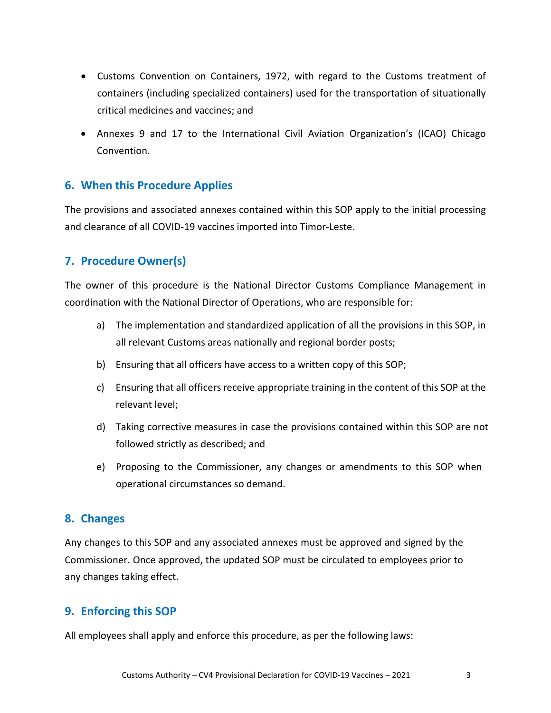- Customs Convention on Containers, 1972, with regard to the Customs treatment of containers (including specialized containers) used for the transportation of situationally critical medicines and vaccines; and
- Annexes 9 and 17 to the International Civil Aviation Organization's (ICAO) Chicago Convention.

#### **6. When this Procedure Applies**

The provisions and associated annexes contained within this SOP apply to the initial processing and clearance of all COVID-19 vaccines imported into Timor-Leste.

#### **7. Procedure Owner(s)**

The owner of this procedure is the National Director Customs Compliance Management in coordination with the National Director of Operations, who are responsible for:

- a) The implementation and standardized application of all the provisions in this SOP, in all relevant Customs areas nationally and regional border posts;
- b) Ensuring that all officers have access to a written copy of this SOP;
- c) Ensuring that all officers receive appropriate training in the content of this SOP at the relevant level;
- d) Taking corrective measures in case the provisions contained within this SOP are not followed strictly as described; and
- e) Proposing to the Commissioner, any changes or amendments to this SOP when operational circumstances so demand.

#### **8. Changes**

Any changes to this SOP and any associated annexes must be approved and signed by the Commissioner. Once approved, the updated SOP must be circulated to employees prior to any changes taking effect.

#### **9. Enforcing this SOP**

All employees shall apply and enforce this procedure, as per the following laws: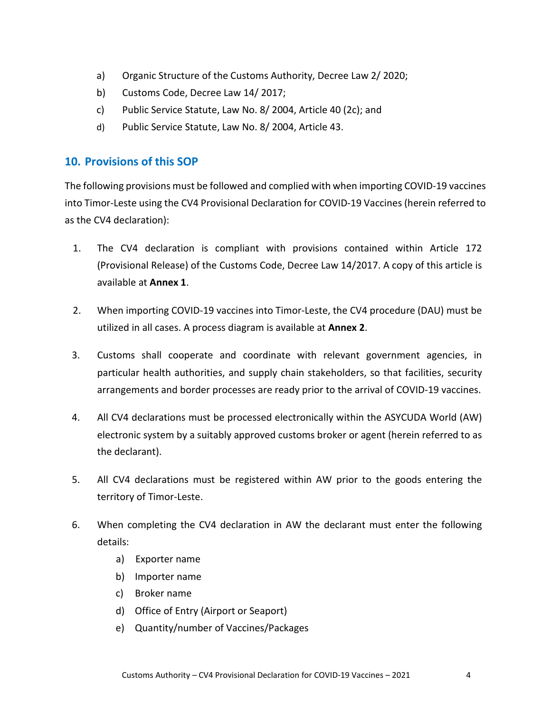- a) Organic Structure of the Customs Authority, Decree Law 2/ 2020;
- b) Customs Code, Decree Law 14/ 2017;
- c) Public Service Statute, Law No. 8/ 2004, Article 40 (2c); and
- d) Public Service Statute, Law No. 8/ 2004, Article 43.

#### **10. Provisions of this SOP**

The following provisions must be followed and complied with when importing COVID-19 vaccines into Timor-Leste using the CV4 Provisional Declaration for COVID-19 Vaccines (herein referred to as the CV4 declaration):

- 1. The CV4 declaration is compliant with provisions contained within Article 172 (Provisional Release) of the Customs Code, Decree Law 14/2017. A copy of this article is available at **Annex 1**.
- 2. When importing COVID-19 vaccines into Timor-Leste, the CV4 procedure (DAU) must be utilized in all cases. A process diagram is available at **Annex 2**.
- 3. Customs shall cooperate and coordinate with relevant government agencies, in particular health authorities, and supply chain stakeholders, so that facilities, security arrangements and border processes are ready prior to the arrival of COVID-19 vaccines.
- 4. All CV4 declarations must be processed electronically within the ASYCUDA World (AW) electronic system by a suitably approved customs broker or agent (herein referred to as the declarant).
- 5. All CV4 declarations must be registered within AW prior to the goods entering the territory of Timor-Leste.
- 6. When completing the CV4 declaration in AW the declarant must enter the following details:
	- a) Exporter name
	- b) Importer name
	- c) Broker name
	- d) Office of Entry (Airport or Seaport)
	- e) Quantity/number of Vaccines/Packages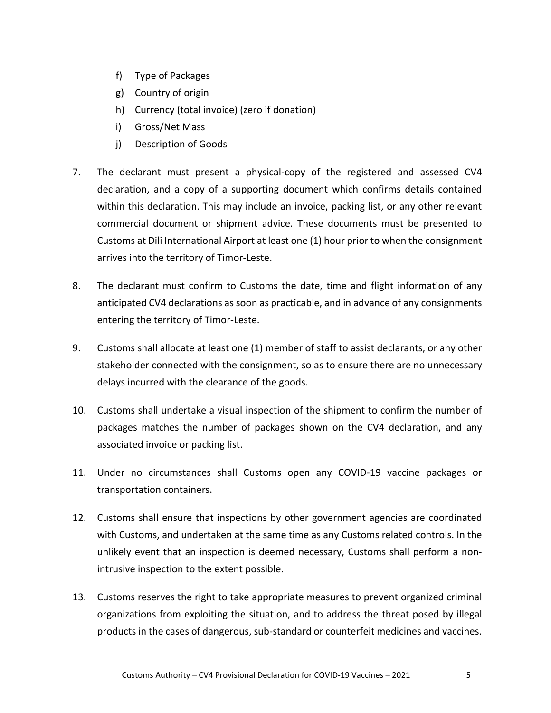- f) Type of Packages
- g) Country of origin
- h) Currency (total invoice) (zero if donation)
- i) Gross/Net Mass
- j) Description of Goods
- 7. The declarant must present a physical-copy of the registered and assessed CV4 declaration, and a copy of a supporting document which confirms details contained within this declaration. This may include an invoice, packing list, or any other relevant commercial document or shipment advice. These documents must be presented to Customs at Dili International Airport at least one (1) hour prior to when the consignment arrives into the territory of Timor-Leste.
- 8. The declarant must confirm to Customs the date, time and flight information of any anticipated CV4 declarations as soon as practicable, and in advance of any consignments entering the territory of Timor-Leste.
- 9. Customs shall allocate at least one (1) member of staff to assist declarants, or any other stakeholder connected with the consignment, so as to ensure there are no unnecessary delays incurred with the clearance of the goods.
- 10. Customs shall undertake a visual inspection of the shipment to confirm the number of packages matches the number of packages shown on the CV4 declaration, and any associated invoice or packing list.
- 11. Under no circumstances shall Customs open any COVID-19 vaccine packages or transportation containers.
- 12. Customs shall ensure that inspections by other government agencies are coordinated with Customs, and undertaken at the same time as any Customs related controls. In the unlikely event that an inspection is deemed necessary, Customs shall perform a nonintrusive inspection to the extent possible.
- 13. Customs reserves the right to take appropriate measures to prevent organized criminal organizations from exploiting the situation, and to address the threat posed by illegal products in the cases of dangerous, sub-standard or counterfeit medicines and vaccines.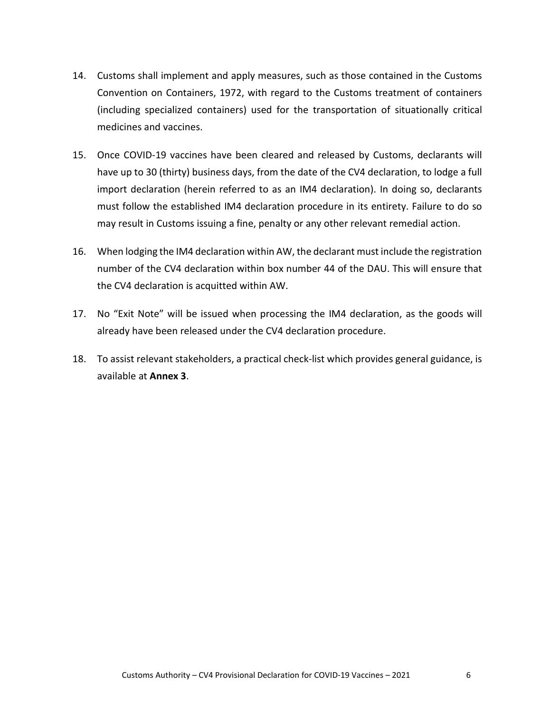- 14. Customs shall implement and apply measures, such as those contained in the Customs Convention on Containers, 1972, with regard to the Customs treatment of containers (including specialized containers) used for the transportation of situationally critical medicines and vaccines.
- 15. Once COVID-19 vaccines have been cleared and released by Customs, declarants will have up to 30 (thirty) business days, from the date of the CV4 declaration, to lodge a full import declaration (herein referred to as an IM4 declaration). In doing so, declarants must follow the established IM4 declaration procedure in its entirety. Failure to do so may result in Customs issuing a fine, penalty or any other relevant remedial action.
- 16. When lodging the IM4 declaration within AW, the declarant must include the registration number of the CV4 declaration within box number 44 of the DAU. This will ensure that the CV4 declaration is acquitted within AW.
- 17. No "Exit Note" will be issued when processing the IM4 declaration, as the goods will already have been released under the CV4 declaration procedure.
- 18. To assist relevant stakeholders, a practical check-list which provides general guidance, is available at **Annex 3**.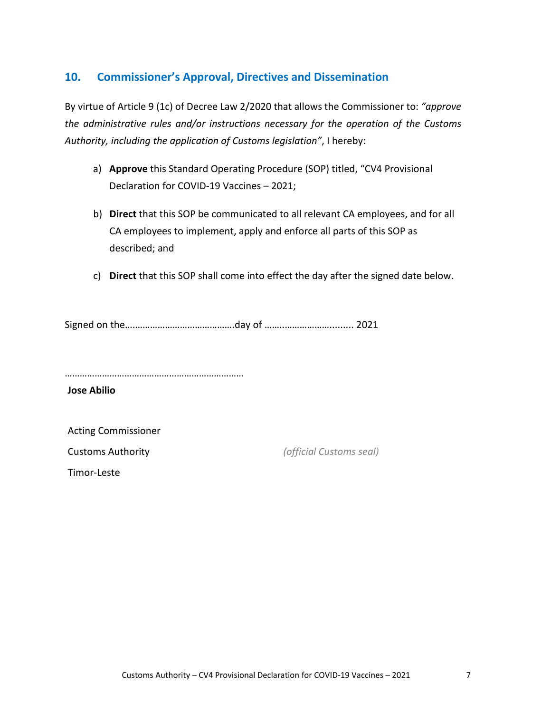#### **10. Commissioner's Approval, Directives and Dissemination**

By virtue of Article 9 (1c) of Decree Law 2/2020 that allows the Commissioner to: *"approve the administrative rules and/or instructions necessary for the operation of the Customs Authority, including the application of Customs legislation"*, I hereby:

- a) **Approve** this Standard Operating Procedure (SOP) titled, "CV4 Provisional Declaration for COVID-19 Vaccines – 2021;
- b) **Direct** that this SOP be communicated to all relevant CA employees, and for all CA employees to implement, apply and enforce all parts of this SOP as described; and
- c) **Direct** that this SOP shall come into effect the day after the signed date below.

Signed on the….………………………………….day of ……..………………......... 2021

………………………………………………………………

**Jose Abilio**

Acting Commissioner

Customs Authority *(official Customs seal)*

Timor-Leste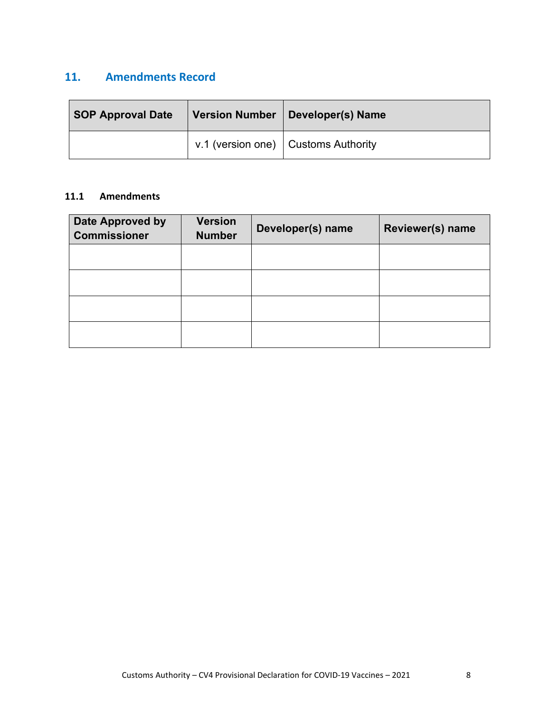#### **11. Amendments Record**

| <b>SOP Approval Date</b> | Version Number   Developer(s) Name  |
|--------------------------|-------------------------------------|
|                          | v.1 (version one) Customs Authority |

#### **11.1 Amendments**

| Date Approved by<br><b>Commissioner</b> | <b>Version</b><br><b>Number</b> | Developer(s) name | Reviewer(s) name |  |
|-----------------------------------------|---------------------------------|-------------------|------------------|--|
|                                         |                                 |                   |                  |  |
|                                         |                                 |                   |                  |  |
|                                         |                                 |                   |                  |  |
|                                         |                                 |                   |                  |  |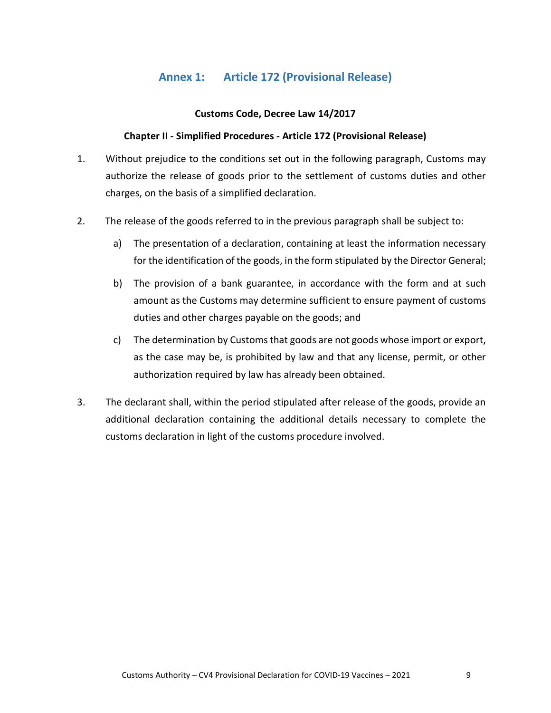#### **Annex 1: Article 172 (Provisional Release)**

#### **Customs Code, Decree Law 14/2017**

#### **Chapter II - Simplified Procedures - Article 172 (Provisional Release)**

- 1. Without prejudice to the conditions set out in the following paragraph, Customs may authorize the release of goods prior to the settlement of customs duties and other charges, on the basis of a simplified declaration.
- 2. The release of the goods referred to in the previous paragraph shall be subject to:
	- a) The presentation of a declaration, containing at least the information necessary for the identification of the goods, in the form stipulated by the Director General;
	- b) The provision of a bank guarantee, in accordance with the form and at such amount as the Customs may determine sufficient to ensure payment of customs duties and other charges payable on the goods; and
	- c) The determination by Customs that goods are not goods whose import or export, as the case may be, is prohibited by law and that any license, permit, or other authorization required by law has already been obtained.
- 3. The declarant shall, within the period stipulated after release of the goods, provide an additional declaration containing the additional details necessary to complete the customs declaration in light of the customs procedure involved.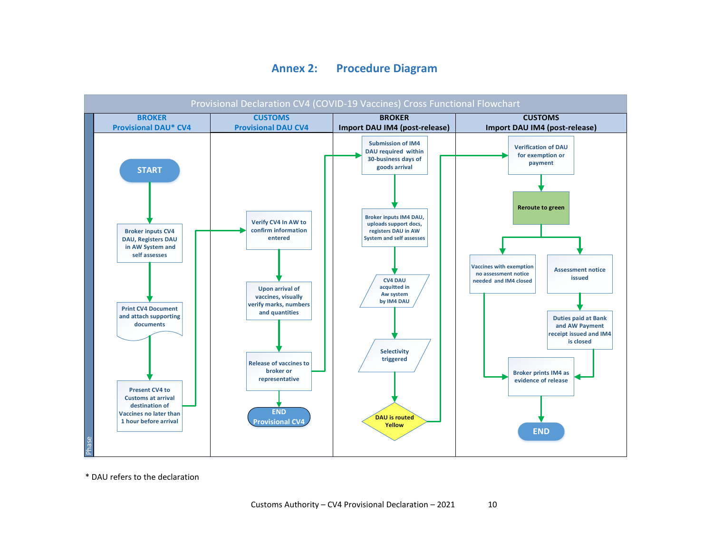#### **Annex 2: Procedure Diagram**



\* DAU refers to the declaration